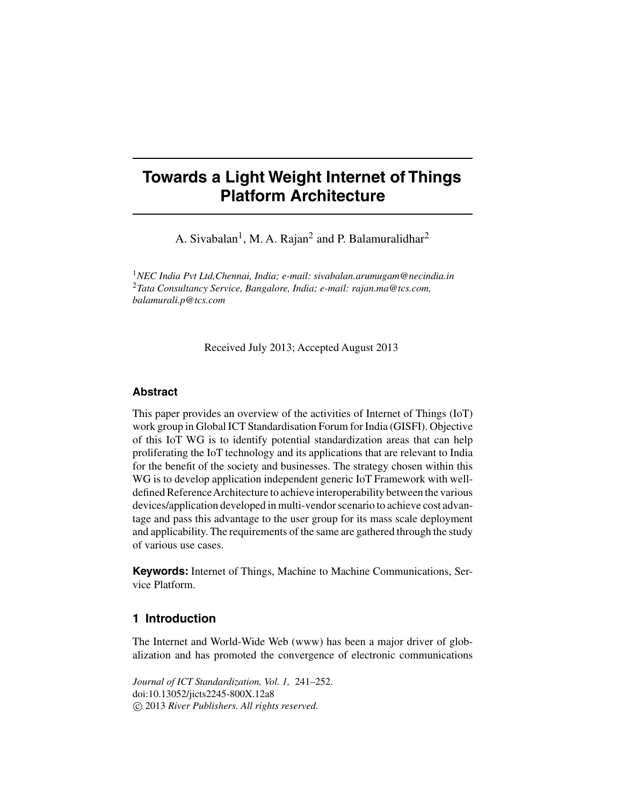# **Towards a Light Weight Internet of Things Platform Architecture**

A. Sivabalan<sup>1</sup>, M. A. Rajan<sup>2</sup> and P. Balamuralidhar<sup>2</sup>

<sup>1</sup>*NEC India Pvt Ltd,Chennai, India; e-mail: sivabalan.arumugam@necindia.in* <sup>2</sup>*Tata Consultancy Service, Bangalore, India; e-mail: rajan.ma@tcs.com, balamurali.p@tcs.com*

Received July 2013; Accepted August 2013

# **Abstract**

This paper provides an overview of the activities of Internet of Things (IoT) work group in Global ICT Standardisation Forum for India (GISFI). Objective of this IoT WG is to identify potential standardization areas that can help proliferating the IoT technology and its applications that are relevant to India for the benefit of the society and businesses. The strategy chosen within this WG is to develop application independent generic IoT Framework with welldefined ReferenceArchitecture to achieve interoperability between the various devices/application developed in multi-vendor scenario to achieve cost advantage and pass this advantage to the user group for its mass scale deployment and applicability. The requirements of the same are gathered through the study of various use cases.

**Keywords:** Internet of Things, Machine to Machine Communications, Service Platform.

# **1 Introduction**

The Internet and World-Wide Web (www) has been a major driver of globalization and has promoted the convergence of electronic communications

*Journal of ICT Standardization, Vol. 1,* 241–252. doi:10.13052/jicts2245-800X.12a8 -c 2013 *River Publishers. All rights reserved.*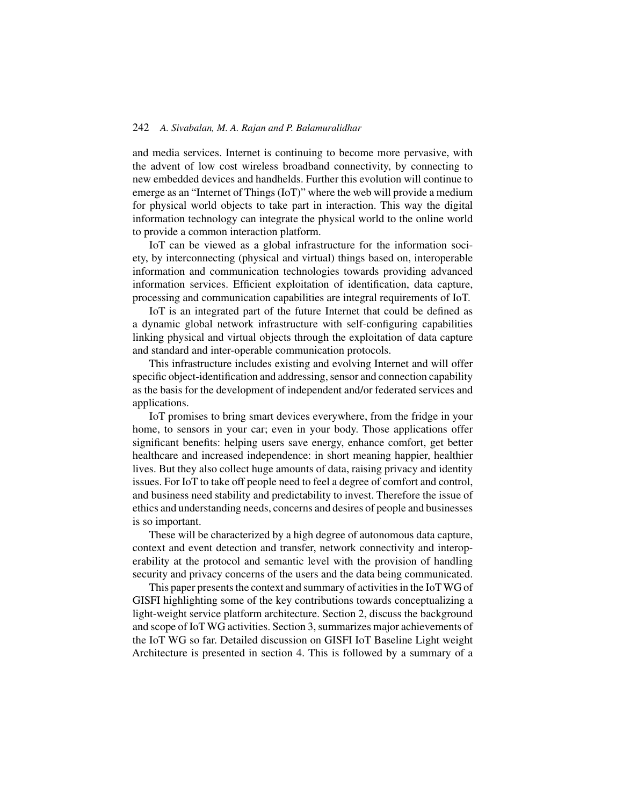and media services. Internet is continuing to become more pervasive, with the advent of low cost wireless broadband connectivity, by connecting to new embedded devices and handhelds. Further this evolution will continue to emerge as an "Internet of Things (IoT)" where the web will provide a medium for physical world objects to take part in interaction. This way the digital information technology can integrate the physical world to the online world to provide a common interaction platform.

IoT can be viewed as a global infrastructure for the information society, by interconnecting (physical and virtual) things based on, interoperable information and communication technologies towards providing advanced information services. Efficient exploitation of identification, data capture, processing and communication capabilities are integral requirements of IoT.

IoT is an integrated part of the future Internet that could be defined as a dynamic global network infrastructure with self-configuring capabilities linking physical and virtual objects through the exploitation of data capture and standard and inter-operable communication protocols.

This infrastructure includes existing and evolving Internet and will offer specific object-identification and addressing, sensor and connection capability as the basis for the development of independent and/or federated services and applications.

IoT promises to bring smart devices everywhere, from the fridge in your home, to sensors in your car; even in your body. Those applications offer significant benefits: helping users save energy, enhance comfort, get better healthcare and increased independence: in short meaning happier, healthier lives. But they also collect huge amounts of data, raising privacy and identity issues. For IoT to take off people need to feel a degree of comfort and control, and business need stability and predictability to invest. Therefore the issue of ethics and understanding needs, concerns and desires of people and businesses is so important.

These will be characterized by a high degree of autonomous data capture, context and event detection and transfer, network connectivity and interoperability at the protocol and semantic level with the provision of handling security and privacy concerns of the users and the data being communicated.

This paper presents the context and summary of activities in the IoTWG of GISFI highlighting some of the key contributions towards conceptualizing a light-weight service platform architecture. Section 2, discuss the background and scope of IoTWG activities. Section 3, summarizes major achievements of the IoT WG so far. Detailed discussion on GISFI IoT Baseline Light weight Architecture is presented in section 4. This is followed by a summary of a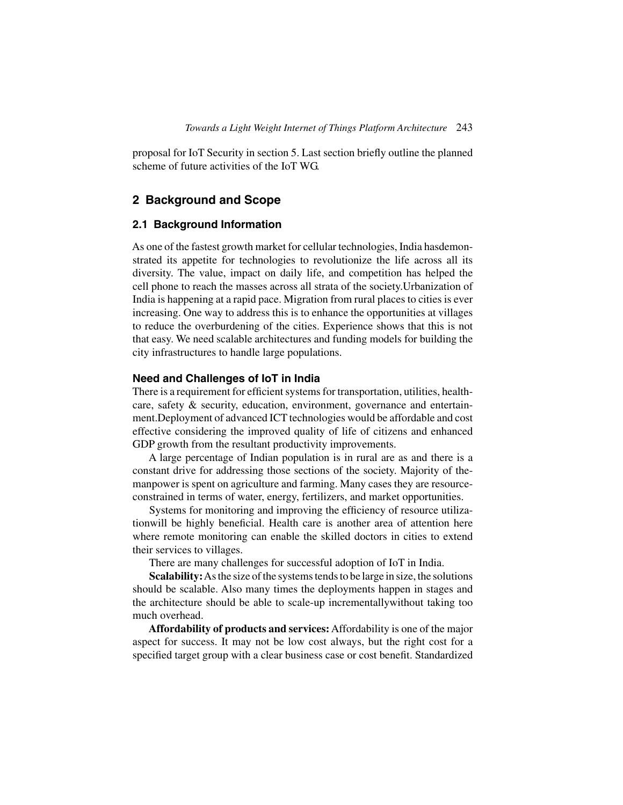proposal for IoT Security in section 5. Last section briefly outline the planned scheme of future activities of the IoT WG.

# **2 Background and Scope**

## **2.1 Background Information**

As one of the fastest growth market for cellular technologies, India hasdemonstrated its appetite for technologies to revolutionize the life across all its diversity. The value, impact on daily life, and competition has helped the cell phone to reach the masses across all strata of the society.Urbanization of India is happening at a rapid pace. Migration from rural places to cities is ever increasing. One way to address this is to enhance the opportunities at villages to reduce the overburdening of the cities. Experience shows that this is not that easy. We need scalable architectures and funding models for building the city infrastructures to handle large populations.

#### **Need and Challenges of IoT in India**

There is a requirement for efficient systems for transportation, utilities, healthcare, safety & security, education, environment, governance and entertainment.Deployment of advanced ICT technologies would be affordable and cost effective considering the improved quality of life of citizens and enhanced GDP growth from the resultant productivity improvements.

A large percentage of Indian population is in rural are as and there is a constant drive for addressing those sections of the society. Majority of themanpower is spent on agriculture and farming. Many cases they are resourceconstrained in terms of water, energy, fertilizers, and market opportunities.

Systems for monitoring and improving the efficiency of resource utilizationwill be highly beneficial. Health care is another area of attention here where remote monitoring can enable the skilled doctors in cities to extend their services to villages.

There are many challenges for successful adoption of IoT in India.

**Scalability:**As the size of the systems tends to be large in size, the solutions should be scalable. Also many times the deployments happen in stages and the architecture should be able to scale-up incrementallywithout taking too much overhead.

**Affordability of products and services:** Affordability is one of the major aspect for success. It may not be low cost always, but the right cost for a specified target group with a clear business case or cost benefit. Standardized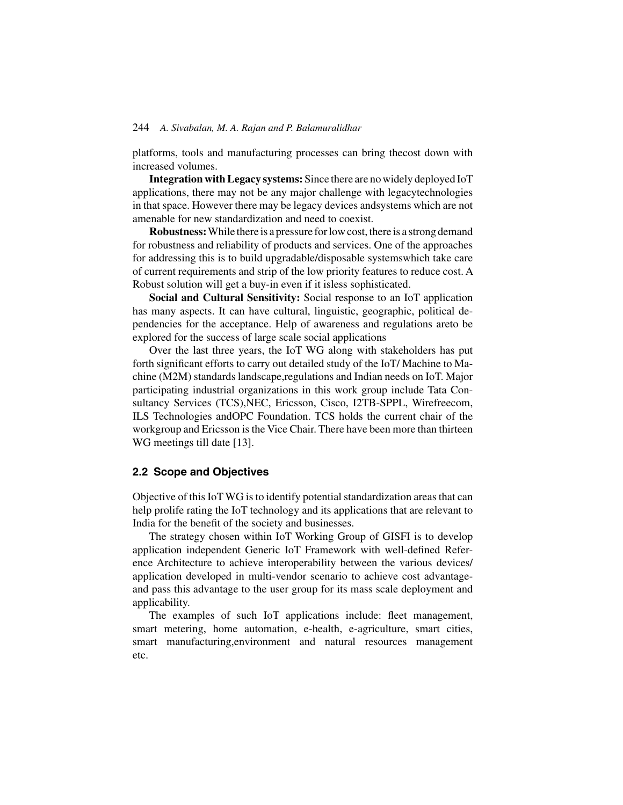platforms, tools and manufacturing processes can bring thecost down with increased volumes.

**Integration with Legacy systems:** Since there are no widely deployed IoT applications, there may not be any major challenge with legacytechnologies in that space. However there may be legacy devices andsystems which are not amenable for new standardization and need to coexist.

**Robustness:**While there is a pressure for low cost, there is a strong demand for robustness and reliability of products and services. One of the approaches for addressing this is to build upgradable/disposable systemswhich take care of current requirements and strip of the low priority features to reduce cost. A Robust solution will get a buy-in even if it isless sophisticated.

**Social and Cultural Sensitivity:** Social response to an IoT application has many aspects. It can have cultural, linguistic, geographic, political dependencies for the acceptance. Help of awareness and regulations areto be explored for the success of large scale social applications

Over the last three years, the IoT WG along with stakeholders has put forth significant efforts to carry out detailed study of the IoT/ Machine to Machine (M2M) standards landscape,regulations and Indian needs on IoT. Major participating industrial organizations in this work group include Tata Consultancy Services (TCS),NEC, Ericsson, Cisco, I2TB-SPPL, Wirefreecom, ILS Technologies andOPC Foundation. TCS holds the current chair of the workgroup and Ericsson is the Vice Chair. There have been more than thirteen WG meetings till date [13].

## **2.2 Scope and Objectives**

Objective of this IoTWG is to identify potential standardization areas that can help prolife rating the IoT technology and its applications that are relevant to India for the benefit of the society and businesses.

The strategy chosen within IoT Working Group of GISFI is to develop application independent Generic IoT Framework with well-defined Reference Architecture to achieve interoperability between the various devices/ application developed in multi-vendor scenario to achieve cost advantageand pass this advantage to the user group for its mass scale deployment and applicability.

The examples of such IoT applications include: fleet management, smart metering, home automation, e-health, e-agriculture, smart cities, smart manufacturing,environment and natural resources management etc.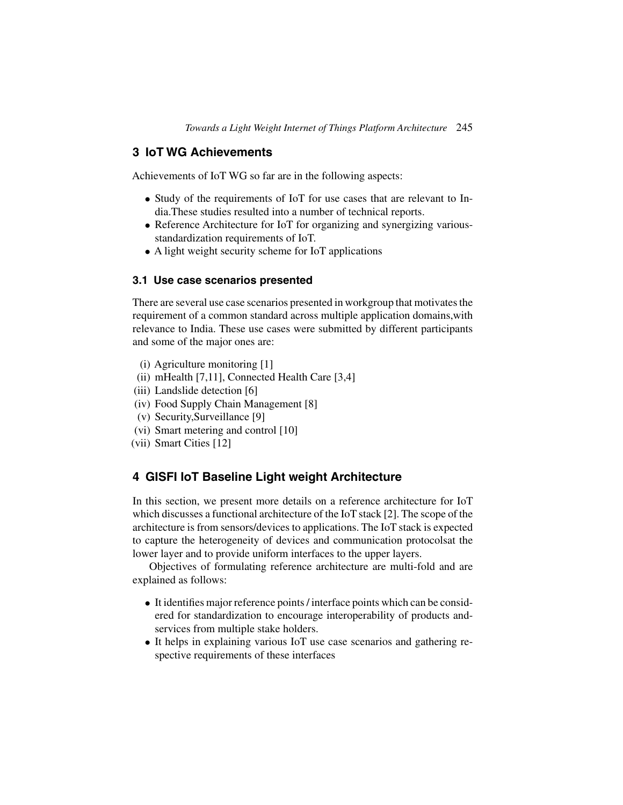# **3 IoT WG Achievements**

Achievements of IoT WG so far are in the following aspects:

- Study of the requirements of IoT for use cases that are relevant to India.These studies resulted into a number of technical reports.
- Reference Architecture for IoT for organizing and synergizing variousstandardization requirements of IoT.
- A light weight security scheme for IoT applications

#### **3.1 Use case scenarios presented**

There are several use case scenarios presented in workgroup that motivates the requirement of a common standard across multiple application domains,with relevance to India. These use cases were submitted by different participants and some of the major ones are:

- (i) Agriculture monitoring [1]
- (ii) mHealth [7,11], Connected Health Care [3,4]
- (iii) Landslide detection [6]
- (iv) Food Supply Chain Management [8]
- (v) Security,Surveillance [9]
- (vi) Smart metering and control [10]
- (vii) Smart Cities [12]

# **4 GISFI IoT Baseline Light weight Architecture**

In this section, we present more details on a reference architecture for IoT which discusses a functional architecture of the IoT stack [2]. The scope of the architecture is from sensors/devices to applications. The IoT stack is expected to capture the heterogeneity of devices and communication protocolsat the lower layer and to provide uniform interfaces to the upper layers.

Objectives of formulating reference architecture are multi-fold and are explained as follows:

- It identifies major reference points / interface points which can be considered for standardization to encourage interoperability of products andservices from multiple stake holders.
- It helps in explaining various IoT use case scenarios and gathering respective requirements of these interfaces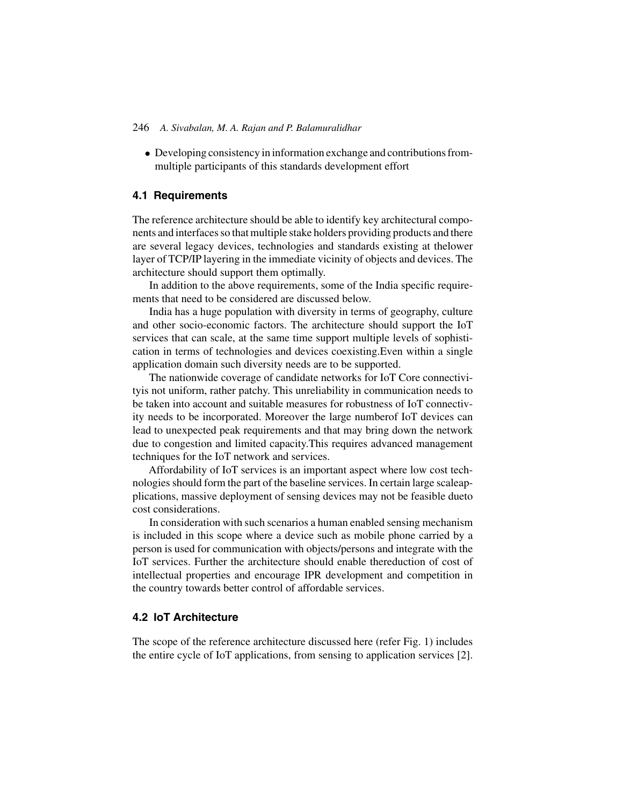• Developing consistency in information exchange and contributions frommultiple participants of this standards development effort

## **4.1 Requirements**

The reference architecture should be able to identify key architectural components and interfaces so that multiple stake holders providing products and there are several legacy devices, technologies and standards existing at thelower layer of TCP/IP layering in the immediate vicinity of objects and devices. The architecture should support them optimally.

In addition to the above requirements, some of the India specific requirements that need to be considered are discussed below.

India has a huge population with diversity in terms of geography, culture and other socio-economic factors. The architecture should support the IoT services that can scale, at the same time support multiple levels of sophistication in terms of technologies and devices coexisting.Even within a single application domain such diversity needs are to be supported.

The nationwide coverage of candidate networks for IoT Core connectivityis not uniform, rather patchy. This unreliability in communication needs to be taken into account and suitable measures for robustness of IoT connectivity needs to be incorporated. Moreover the large numberof IoT devices can lead to unexpected peak requirements and that may bring down the network due to congestion and limited capacity.This requires advanced management techniques for the IoT network and services.

Affordability of IoT services is an important aspect where low cost technologies should form the part of the baseline services. In certain large scaleapplications, massive deployment of sensing devices may not be feasible dueto cost considerations.

In consideration with such scenarios a human enabled sensing mechanism is included in this scope where a device such as mobile phone carried by a person is used for communication with objects/persons and integrate with the IoT services. Further the architecture should enable thereduction of cost of intellectual properties and encourage IPR development and competition in the country towards better control of affordable services.

## **4.2 IoT Architecture**

The scope of the reference architecture discussed here (refer Fig. 1) includes the entire cycle of IoT applications, from sensing to application services [2].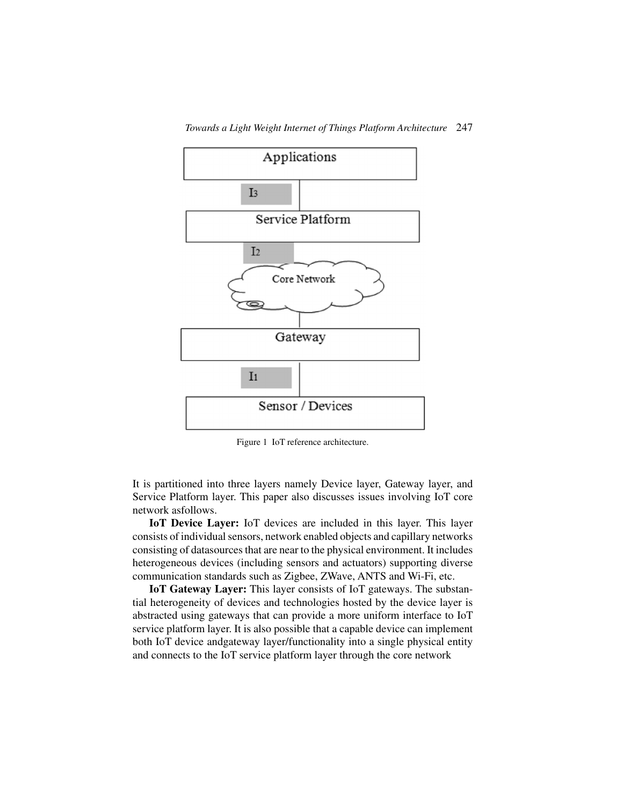



Figure 1 IoT reference architecture.

It is partitioned into three layers namely Device layer, Gateway layer, and Service Platform layer. This paper also discusses issues involving IoT core network asfollows.

**IoT Device Layer:** IoT devices are included in this layer. This layer consists of individual sensors, network enabled objects and capillary networks consisting of datasources that are near to the physical environment. It includes heterogeneous devices (including sensors and actuators) supporting diverse communication standards such as Zigbee, ZWave, ANTS and Wi-Fi, etc.

**IoT Gateway Layer:** This layer consists of IoT gateways. The substantial heterogeneity of devices and technologies hosted by the device layer is abstracted using gateways that can provide a more uniform interface to IoT service platform layer. It is also possible that a capable device can implement both IoT device andgateway layer/functionality into a single physical entity and connects to the IoT service platform layer through the core network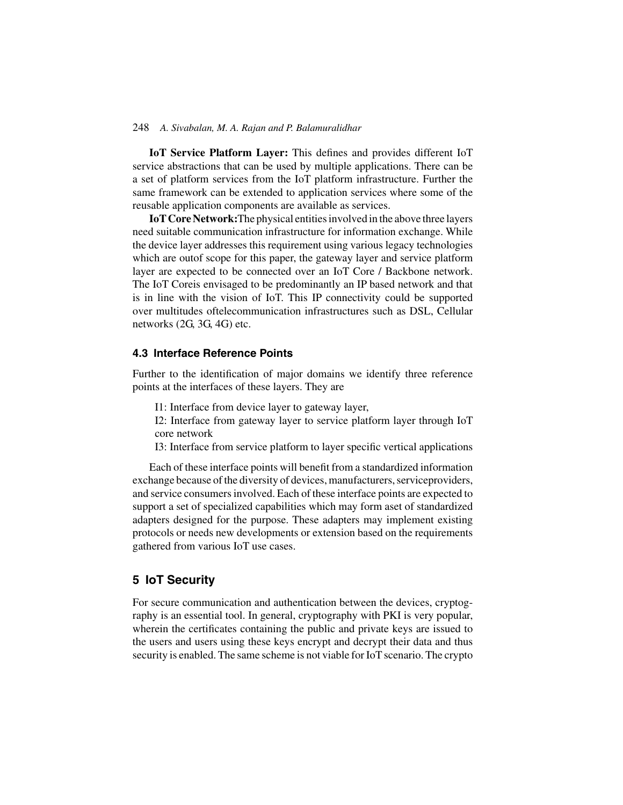**IoT Service Platform Layer:** This defines and provides different IoT service abstractions that can be used by multiple applications. There can be a set of platform services from the IoT platform infrastructure. Further the same framework can be extended to application services where some of the reusable application components are available as services.

**IoT Core Network:**The physical entities involved in the above three layers need suitable communication infrastructure for information exchange. While the device layer addresses this requirement using various legacy technologies which are outof scope for this paper, the gateway layer and service platform layer are expected to be connected over an IoT Core / Backbone network. The IoT Coreis envisaged to be predominantly an IP based network and that is in line with the vision of IoT. This IP connectivity could be supported over multitudes oftelecommunication infrastructures such as DSL, Cellular networks (2G, 3G, 4G) etc.

## **4.3 Interface Reference Points**

Further to the identification of major domains we identify three reference points at the interfaces of these layers. They are

- I1: Interface from device layer to gateway layer,
- I2: Interface from gateway layer to service platform layer through IoT core network
- I3: Interface from service platform to layer specific vertical applications

Each of these interface points will benefit from a standardized information exchange because of the diversity of devices, manufacturers, serviceproviders, and service consumers involved. Each of these interface points are expected to support a set of specialized capabilities which may form aset of standardized adapters designed for the purpose. These adapters may implement existing protocols or needs new developments or extension based on the requirements gathered from various IoT use cases.

## **5 IoT Security**

For secure communication and authentication between the devices, cryptography is an essential tool. In general, cryptography with PKI is very popular, wherein the certificates containing the public and private keys are issued to the users and users using these keys encrypt and decrypt their data and thus security is enabled. The same scheme is not viable for IoT scenario. The crypto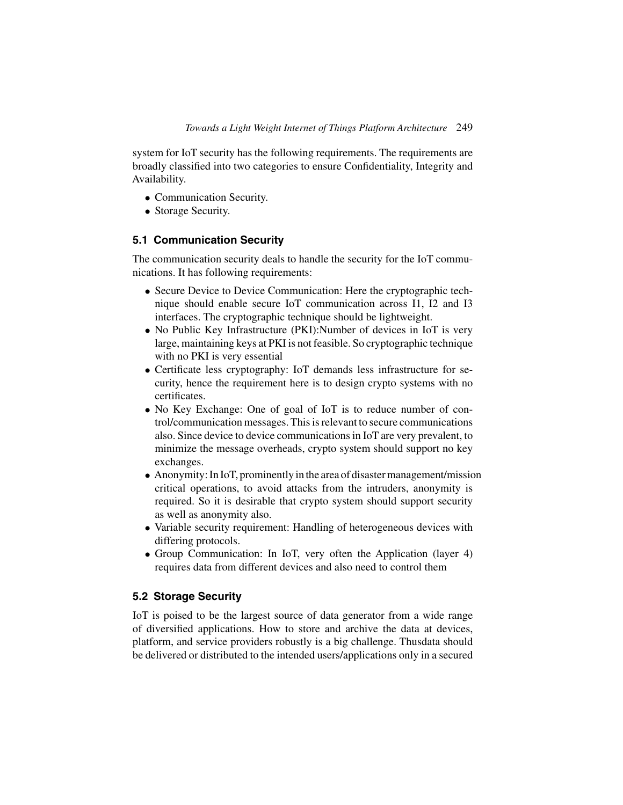system for IoT security has the following requirements. The requirements are broadly classified into two categories to ensure Confidentiality, Integrity and Availability.

- Communication Security.
- Storage Security.

# **5.1 Communication Security**

The communication security deals to handle the security for the IoT communications. It has following requirements:

- Secure Device to Device Communication: Here the cryptographic technique should enable secure IoT communication across I1, I2 and I3 interfaces. The cryptographic technique should be lightweight.
- No Public Key Infrastructure (PKI):Number of devices in IoT is very large, maintaining keys at PKI is not feasible. So cryptographic technique with no PKI is very essential
- Certificate less cryptography: IoT demands less infrastructure for security, hence the requirement here is to design crypto systems with no certificates.
- No Key Exchange: One of goal of IoT is to reduce number of control/communication messages. This is relevant to secure communications also. Since device to device communications in IoT are very prevalent, to minimize the message overheads, crypto system should support no key exchanges.
- Anonymity: In IoT, prominently in the area of disaster management/mission critical operations, to avoid attacks from the intruders, anonymity is required. So it is desirable that crypto system should support security as well as anonymity also.
- Variable security requirement: Handling of heterogeneous devices with differing protocols.
- Group Communication: In IoT, very often the Application (layer 4) requires data from different devices and also need to control them

# **5.2 Storage Security**

IoT is poised to be the largest source of data generator from a wide range of diversified applications. How to store and archive the data at devices, platform, and service providers robustly is a big challenge. Thusdata should be delivered or distributed to the intended users/applications only in a secured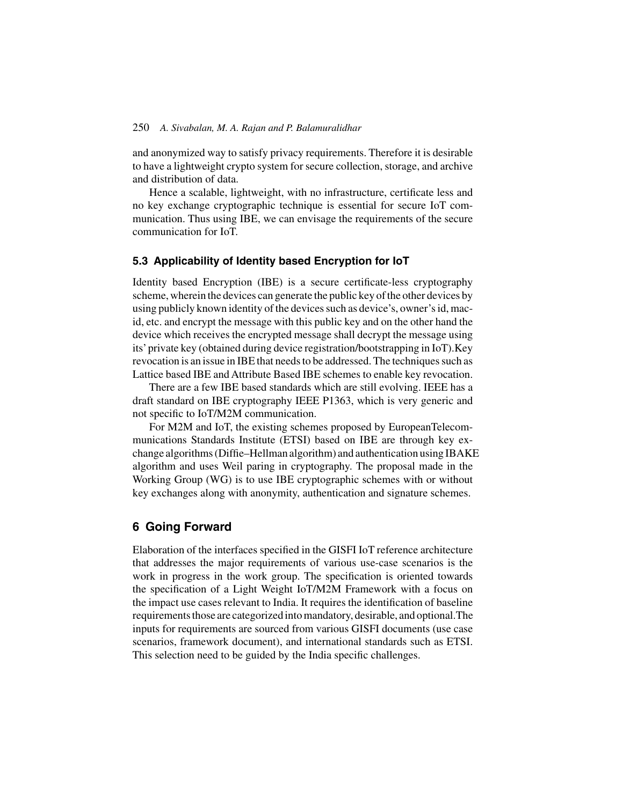and anonymized way to satisfy privacy requirements. Therefore it is desirable to have a lightweight crypto system for secure collection, storage, and archive and distribution of data.

Hence a scalable, lightweight, with no infrastructure, certificate less and no key exchange cryptographic technique is essential for secure IoT communication. Thus using IBE, we can envisage the requirements of the secure communication for IoT.

#### **5.3 Applicability of Identity based Encryption for IoT**

Identity based Encryption (IBE) is a secure certificate-less cryptography scheme, wherein the devices can generate the public key of the other devices by using publicly known identity of the devices such as device's, owner's id, macid, etc. and encrypt the message with this public key and on the other hand the device which receives the encrypted message shall decrypt the message using its' private key (obtained during device registration/bootstrapping in IoT).Key revocation is an issue in IBE that needs to be addressed. The techniques such as Lattice based IBE and Attribute Based IBE schemes to enable key revocation.

There are a few IBE based standards which are still evolving. IEEE has a draft standard on IBE cryptography IEEE P1363, which is very generic and not specific to IoT/M2M communication.

For M2M and IoT, the existing schemes proposed by EuropeanTelecommunications Standards Institute (ETSI) based on IBE are through key exchange algorithms (Diffie–Hellman algorithm) and authentication using IBAKE algorithm and uses Weil paring in cryptography. The proposal made in the Working Group (WG) is to use IBE cryptographic schemes with or without key exchanges along with anonymity, authentication and signature schemes.

# **6 Going Forward**

Elaboration of the interfaces specified in the GISFI IoT reference architecture that addresses the major requirements of various use-case scenarios is the work in progress in the work group. The specification is oriented towards the specification of a Light Weight IoT/M2M Framework with a focus on the impact use cases relevant to India. It requires the identification of baseline requirements those are categorized into mandatory, desirable, and optional.The inputs for requirements are sourced from various GISFI documents (use case scenarios, framework document), and international standards such as ETSI. This selection need to be guided by the India specific challenges.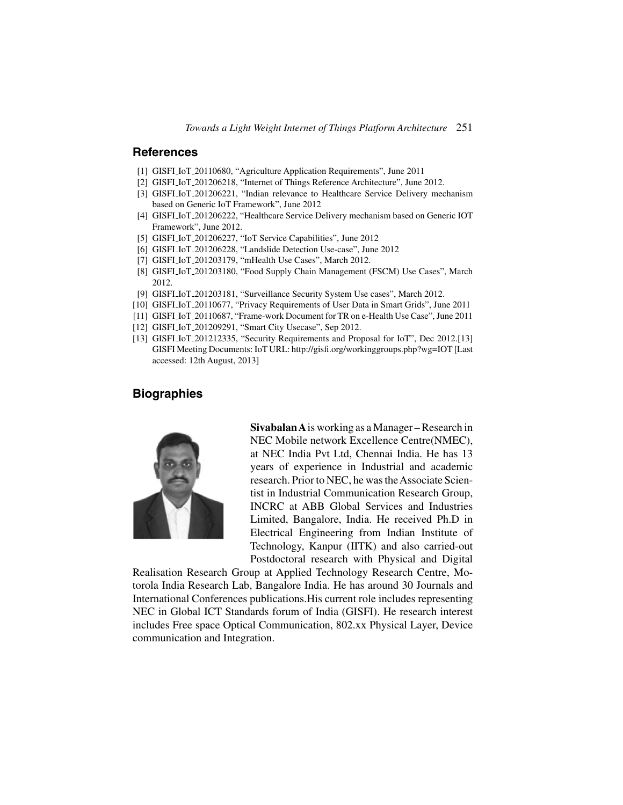## **References**

- [1] GISFI IoT 20110680, "Agriculture Application Requirements", June 2011
- [2] GISFI IoT 201206218, "Internet of Things Reference Architecture", June 2012.
- [3] GISFI IoT 201206221, "Indian relevance to Healthcare Service Delivery mechanism based on Generic IoT Framework", June 2012
- [4] GISFI IoT 201206222, "Healthcare Service Delivery mechanism based on Generic IOT Framework", June 2012.
- [5] GISFI IoT 201206227, "IoT Service Capabilities", June 2012
- [6] GISFI IoT 201206228, "Landslide Detection Use-case", June 2012
- [7] GISFI IoT 201203179, "mHealth Use Cases", March 2012.
- [8] GISFI IoT 201203180, "Food Supply Chain Management (FSCM) Use Cases", March 2012.
- [9] GISFI IoT 201203181, "Surveillance Security System Use cases", March 2012.
- [10] GISFI IoT 20110677, "Privacy Requirements of User Data in Smart Grids", June 2011
- [11] GISFI IoT 20110687, "Frame-work Document for TR on e-Health Use Case", June 2011
- [12] GISFI<sub>-IoT-201209291</sub>, "Smart City Usecase", Sep 2012.
- [13] GISFI<sub>-IoT-201212335</sub>, "Security Requirements and Proposal for IoT", Dec 2012.[13] GISFI Meeting Documents: IoT URL: http://gisfi.org/workinggroups.php?wg=IOT [Last accessed: 12th August, 2013]

# **Biographies**



**SivabalanA**is working as a Manager – Research in NEC Mobile network Excellence Centre(NMEC), at NEC India Pvt Ltd, Chennai India. He has 13 years of experience in Industrial and academic research. Prior to NEC, he was the Associate Scientist in Industrial Communication Research Group, INCRC at ABB Global Services and Industries Limited, Bangalore, India. He received Ph.D in Electrical Engineering from Indian Institute of Technology, Kanpur (IITK) and also carried-out Postdoctoral research with Physical and Digital

Realisation Research Group at Applied Technology Research Centre, Motorola India Research Lab, Bangalore India. He has around 30 Journals and International Conferences publications.His current role includes representing NEC in Global ICT Standards forum of India (GISFI). He research interest includes Free space Optical Communication, 802.xx Physical Layer, Device communication and Integration.